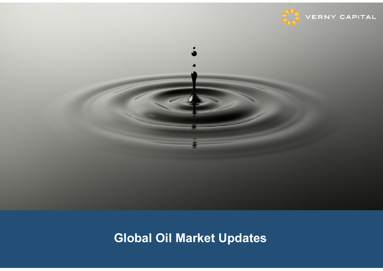



# **Global Oil Market Updates**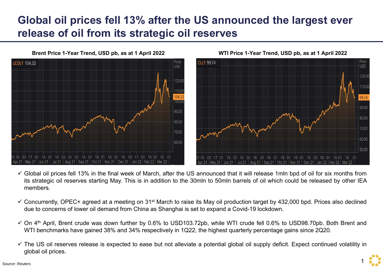### **Global oil prices fell 13% after the US announced the largest ever release of oil from its strategic oil reserves**



**WTI Price 1-Year Trend, USD pb, as at 1 April 2022**



- $\checkmark$  Global oil prices fell 13% in the final week of March, after the US announced that it will release 1mln bpd of oil for six months from its strategic oil reserves starting May. This is in addition to the 30mln to 50mln barrels of oil which could be released by other IEA members.
- $\checkmark$  Concurrently, OPEC+ agreed at a meeting on 31<sup>st</sup> March to raise its May oil production target by 432,000 bpd. Prices also declined due to concerns of lower oil demand from China as Shanghai is set to expand <sup>a</sup> Covid-19 lockdown.
- $\checkmark$  On 4<sup>th</sup> April, Brent crude was down further by 0.6% to USD103.72pb, while WTI crude fell 0.6% to USD98.70pb. Both Brent and WTI benchmarks have gained 38% and 34% respectively in 1Q22, the highest quarterly percentage gains since 2Q20.
- $\checkmark$  The US oil reserves release is expected to ease but not alleviate a potential global oil supply deficit. Expect continued volatility in global oil prices.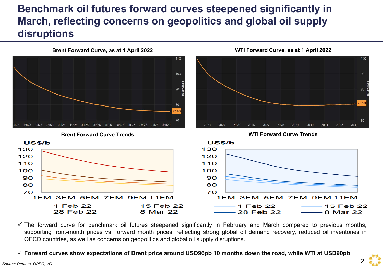#### **Benchmark oil futures forward curves steepened significantly in March, reflecting concerns on geopolitics and global oil supply disruptions**



 $\checkmark$  The forward curve for benchmark oil futures steepened significantly in February and March compared to previous months, supporting front-month prices vs. forward month prices, reflecting strong global oil demand recovery, reduced oil inventories in OECD countries, as well as concerns on geopolitics and global oil supply disruptions.

 $\checkmark$  Forward curves show expectations of Brent price around USD96pb 10 months down the road, while WTI at USD90pb.

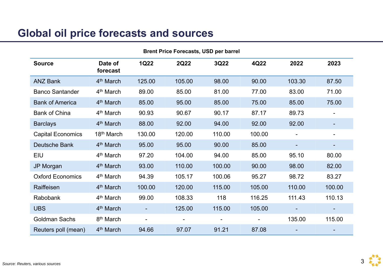#### **Global oil price forecasts and sources**

| <b>Brent Price Forecasts, USD per barrel</b> |                        |                |        |                |                |        |                          |  |
|----------------------------------------------|------------------------|----------------|--------|----------------|----------------|--------|--------------------------|--|
| <b>Source</b>                                | Date of<br>forecast    | <b>1Q22</b>    | 2Q22   | 3Q22           | 4Q22           | 2022   | 2023                     |  |
| <b>ANZ Bank</b>                              | 4 <sup>th</sup> March  | 125.00         | 105.00 | 98.00          | 90.00          | 103.30 | 87.50                    |  |
| <b>Banco Santander</b>                       | 4 <sup>th</sup> March  | 89.00          | 85.00  | 81.00          | 77.00          | 83.00  | 71.00                    |  |
| <b>Bank of America</b>                       | 4 <sup>th</sup> March  | 85.00          | 95.00  | 85.00          | 75.00          | 85.00  | 75.00                    |  |
| <b>Bank of China</b>                         | 4 <sup>th</sup> March  | 90.93          | 90.67  | 90.17          | 87.17          | 89.73  | $\blacksquare$           |  |
| <b>Barclays</b>                              | 4 <sup>th</sup> March  | 88.00          | 92.00  | 94.00          | 92.00          | 92.00  | $\blacksquare$           |  |
| <b>Capital Economics</b>                     | 18 <sup>th</sup> March | 130.00         | 120.00 | 110.00         | 100.00         |        | $\overline{\phantom{0}}$ |  |
| Deutsche Bank                                | 4 <sup>th</sup> March  | 95.00          | 95.00  | 90.00          | 85.00          |        |                          |  |
| <b>EIU</b>                                   | 4 <sup>th</sup> March  | 97.20          | 104.00 | 94.00          | 85.00          | 95.10  | 80.00                    |  |
| <b>JP Morgan</b>                             | 4 <sup>th</sup> March  | 93.00          | 110.00 | 100.00         | 90.00          | 98.00  | 82.00                    |  |
| <b>Oxford Economics</b>                      | 4 <sup>th</sup> March  | 94.39          | 105.17 | 100.06         | 95.27          | 98.72  | 83.27                    |  |
| Raiffeisen                                   | 4 <sup>th</sup> March  | 100.00         | 120.00 | 115.00         | 105.00         | 110.00 | 100.00                   |  |
| Rabobank                                     | 4 <sup>th</sup> March  | 99.00          | 108.33 | 118            | 116.25         | 111.43 | 110.13                   |  |
| <b>UBS</b>                                   | 4 <sup>th</sup> March  |                | 125.00 | 115.00         | 105.00         |        |                          |  |
| <b>Goldman Sachs</b>                         | 8 <sup>th</sup> March  | $\blacksquare$ |        | $\blacksquare$ | $\blacksquare$ | 135.00 | 115.00                   |  |
| Reuters poll (mean)                          | 4 <sup>th</sup> March  | 94.66          | 97.07  | 91.21          | 87.08          |        |                          |  |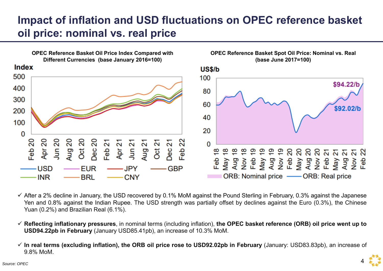# **Impact of inflation and USD fluctuations on OPEC reference basket oil price: nominal vs. real price**



- $\checkmark$  After a 2% decline in January, the USD recovered by 0.1% MoM against the Pound Sterling in February, 0.3% against the Japanese Yen and 0.8% against the Indian Rupee. The USD strength was partially offset by declines against the Euro (0.3%), the Chinese Yuan (0.2%) and Brazilian Real (6.1%).
- $\checkmark$  Reflecting inflationary pressures, in nominal terms (including inflation), the OPEC basket reference (ORB) oil price went up to **USD94.22pb in February** (January USD85.41pb), an increase of 10.3% MoM.
- √ In real terms (excluding inflation), the ORB oil price rose to USD92.02pb in February (January: USD83.83pb), an increase of 9.8% MoM.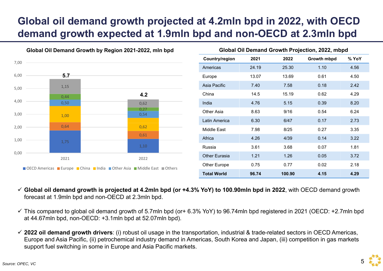### **Global oil demand growth projected at 4.2mln bpd in 2022, with OECD demand growth expected at 1.9mln bpd and non-OECD at 2.3mln bpd**



- **Global oil demand growth is projected at 4.2mln bpd (or +4.3% YoY) to 100.90mln bpd in 2022**, with OECD demand growth forecast at 1.9mln bpd and non-OECD at 2.3mln bpd.
- $\checkmark$  This compared to global oil demand growth of 5.7mln bpd (or+ 6.3% YoY) to 96.74mln bpd registered in 2021 (OECD: +2.7mln bpd at 44.67mln bpd, non-OECD: +3.1mln bpd at 52.07mln bpd).
- **2022 oil demand growth drivers**: (i) robust oil usage in the transportation, industrial & trade-related sectors in OECD Americas, Europe and Asia Pacific, (ii) petrochemical industry demand in Americas, South Korea and Japan, (iii) competition in gas markets support fuel switching in some in Europe and Asia Pacific markets.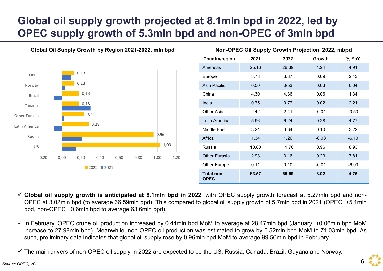# **Global oil supply growth projected at 8.1mln bpd in 2022, led by OPEC supply growth of 5.3mln bpd and non-OPEC of 3mln bpd**



| Non-OPEC Oil Supply Growth Projection, 2022, mbpd |       |       |         |         |  |  |  |
|---------------------------------------------------|-------|-------|---------|---------|--|--|--|
| Country/region                                    | 2021  | 2022  | Growth  | % YoY   |  |  |  |
| Americas                                          | 25.16 | 26.39 | 1.24    | 4.91    |  |  |  |
| Europe                                            | 3.78  | 3.87  | 0.09    | 2.43    |  |  |  |
| Asia Pacific                                      | 0.50  | 0/53  | 0.03    | 6.04    |  |  |  |
| China                                             | 4.30  | 4.36  | 0.06    | 1.34    |  |  |  |
| India                                             | 0.75  | 0.77  | 0.02    | 2.21    |  |  |  |
| Other Asia                                        | 2.42  | 2.41  | $-0.01$ | $-0.53$ |  |  |  |
| Latin America                                     | 5.96  | 6.24  | 0.28    | 4.77    |  |  |  |
| Middle East                                       | 3.24  | 3.34  | 0.10    | 3.22    |  |  |  |
| Africa                                            | 1.34  | 1.26  | $-0.08$ | $-6.10$ |  |  |  |
| Russia                                            | 10.80 | 11.76 | 0.96    | 8.93    |  |  |  |
| Other Eurasia                                     | 2.93  | 3.16  | 0.23    | 7.81    |  |  |  |
| <b>Other Europe</b>                               | 0.11  | 0.10  | $-0.01$ | $-6.90$ |  |  |  |
| <b>Total non-</b><br><b>OPEC</b>                  | 63.57 | 66,59 | 3.02    | 4.75    |  |  |  |

 $\checkmark$  Global oil supply growth is anticipated at 8.1mln bpd in 2022, with OPEC supply growth forecast at 5.27mln bpd and non-OPEC at 3.02mln bpd (to average 66.59mln bpd). This compared to global oil supply growth of 5.7mln bpd in 2021 (OPEC: +5.1mln bpd, non-OPEC +0.6mln bpd to average 63.6mln bpd).

 $\checkmark$  In February, OPEC crude oil production increased by 0.44mln bpd MoM to average at 28.47mln bpd (January: +0.06mln bpd MoM increase to 27.98mln bpd). Meanwhile, non-OPEC oil production was estimated to grow by 0.52mln bpd MoM to 71.03mln bpd. As such, preliminary data indicates that global oil supply rose by 0.96mln bpd MoM to average 99.56mln bpd in February.

The main drivers of non-OPEC oil supply in 2022 are expected to be the US, Russia, Canada, Brazil, Guyana and Norway.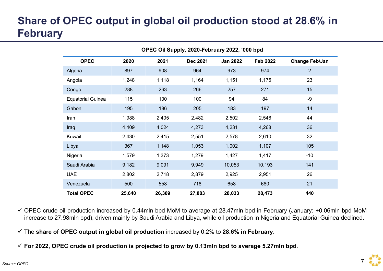# **Share of OPEC output in global oil production stood at 28.6% in February**

| OPEC Oil Supply, 2020-February 2022, '000 bpd |        |        |                 |                 |                 |                       |
|-----------------------------------------------|--------|--------|-----------------|-----------------|-----------------|-----------------------|
| <b>OPEC</b>                                   | 2020   | 2021   | <b>Dec 2021</b> | <b>Jan 2022</b> | <b>Feb 2022</b> | <b>Change Feb/Jan</b> |
| Algeria                                       | 897    | 908    | 964             | 973             | 974             | 2                     |
| Angola                                        | 1,248  | 1,118  | 1,164           | 1,151           | 1,175           | 23                    |
| Congo                                         | 288    | 263    | 266             | 257             | 271             | 15                    |
| <b>Equatorial Guinea</b>                      | 115    | 100    | 100             | 94              | 84              | $-9$                  |
| Gabon                                         | 195    | 186    | 205             | 183             | 197             | 14                    |
| Iran                                          | 1,988  | 2,405  | 2,482           | 2,502           | 2,546           | 44                    |
| Iraq                                          | 4,409  | 4,024  | 4,273           | 4,231           | 4,268           | 36                    |
| Kuwait                                        | 2,430  | 2,415  | 2,551           | 2,578           | 2,610           | 32                    |
| Libya                                         | 367    | 1,148  | 1,053           | 1,002           | 1,107           | 105                   |
| Nigeria                                       | 1,579  | 1,373  | 1,279           | 1,427           | 1,417           | $-10$                 |
| Saudi Arabia                                  | 9,182  | 9,091  | 9,949           | 10,053          | 10,193          | 141                   |
| <b>UAE</b>                                    | 2,802  | 2,718  | 2,879           | 2,925           | 2,951           | 26                    |
| Venezuela                                     | 500    | 558    | 718             | 658             | 680             | 21                    |
| <b>Total OPEC</b>                             | 25,640 | 26,309 | 27,883          | 28,033          | 28,473          | 440                   |

 OPEC crude oil production increased by 0.44mln bpd MoM to average at 28.47mln bpd in February (January: +0.06mln bpd MoM increase to 27.98mln bpd), driven mainly by Saudi Arabia and Libya, while oil production in Nigeria and Equatorial Guinea declined.

- $\checkmark$  The share of OPEC output in global oil production increased by 0.2% to 28.6% in February.
- $\checkmark$  For 2022, OPEC crude oil production is projected to grow by 0.13mln bpd to average 5.27mln bpd.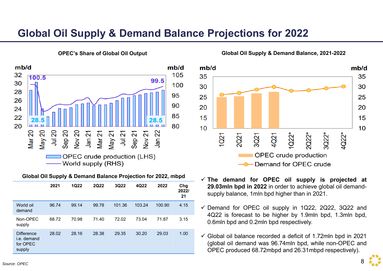#### **Global Oil Supply & Demand Balance Projections for 2022**



**OPEC's Share of Global Oil Output**

#### **Global Oil Supply & Demand Balance Projection for 2022, mbpd**

|                                                        | 2021  | <b>1Q22</b> | <b>2Q22</b> | 3Q22   | 4Q22   | 2022   | Chg<br>2022/<br>21 |
|--------------------------------------------------------|-------|-------------|-------------|--------|--------|--------|--------------------|
| World oil<br>demand                                    | 96.74 | 99.14       | 99.78       | 101.36 | 103.24 | 100.90 | 4.15               |
| Non-OPEC<br>supply                                     | 68.72 | 70.98       | 71.40       | 72.02  | 73.04  | 71.87  | 3.15               |
| <b>Difference</b><br>i.e. demand<br>for OPEC<br>supply | 28.02 | 28.16       | 28.38       | 29.35  | 30.20  | 29.03  | 1.00               |

**Global Oil Supply & Demand Balance, 2021-2022**



- **The demand for OPEC oil supply is projected at 29.03mln bpd in 2022** in order to achieve global oil demandsupply balance, 1mln bpd higher than in 2021.
- $\checkmark$  Demand for OPEC oil supply in 1Q22, 2Q22, 3Q22 and 4Q22 is forecast to be higher by 1.9mln bpd, 1.3mln bpd, 0.6mln bpd and 0.2mln bpd respectively.
- $\checkmark$  Global oil balance recorded a deficit of 1.72mln bpd in 2021 (global oil demand was 96.74mln bpd, while non-OPEC and OPEC produced 68.72mbpd and 26.31mbpd respectively).